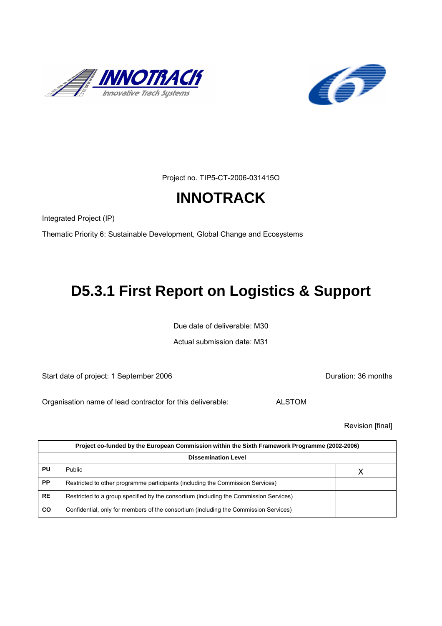



Project no. TIP5-CT-2006-031415O

# **INNOTRACK**

Integrated Project (IP)

Thematic Priority 6: Sustainable Development, Global Change and Ecosystems

# **D5.3.1 First Report on Logistics & Support**

Due date of deliverable: M30

Actual submission date: M31

Start date of project: 1 September 2006 **Duration: 36 months** 

Organisation name of lead contractor for this deliverable: ALSTOM

Revision [final]

| Project co-funded by the European Commission within the Sixth Framework Programme (2002-2006) |                                                                                       |  |  |
|-----------------------------------------------------------------------------------------------|---------------------------------------------------------------------------------------|--|--|
| <b>Dissemination Level</b>                                                                    |                                                                                       |  |  |
| PU                                                                                            | <b>Public</b>                                                                         |  |  |
| <b>PP</b>                                                                                     | Restricted to other programme participants (including the Commission Services)        |  |  |
| <b>RE</b>                                                                                     | Restricted to a group specified by the consortium (including the Commission Services) |  |  |
| CO                                                                                            | Confidential, only for members of the consortium (including the Commission Services)  |  |  |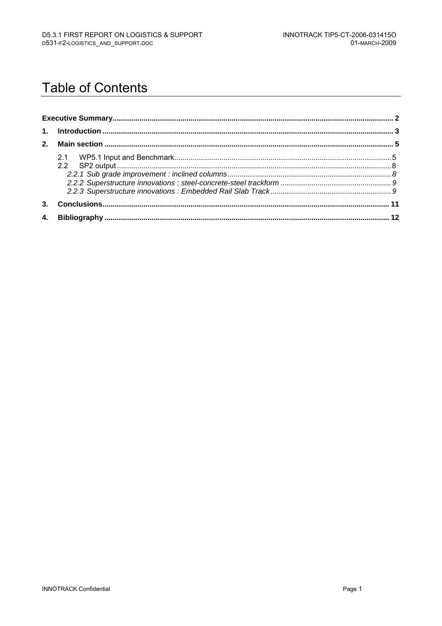# **Table of Contents**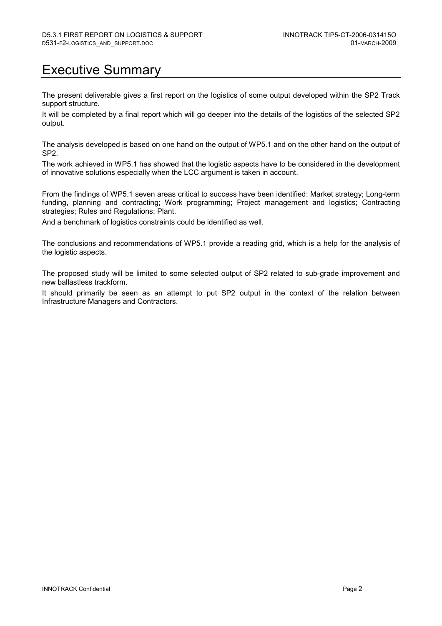# Executive Summary

The present deliverable gives a first report on the logistics of some output developed within the SP2 Track support structure.

It will be completed by a final report which will go deeper into the details of the logistics of the selected SP2 output.

The analysis developed is based on one hand on the output of WP5.1 and on the other hand on the output of SP2.

The work achieved in WP5.1 has showed that the logistic aspects have to be considered in the development of innovative solutions especially when the LCC argument is taken in account.

From the findings of WP5.1 seven areas critical to success have been identified: Market strategy; Long-term funding, planning and contracting; Work programming; Project management and logistics; Contracting strategies; Rules and Regulations; Plant.

And a benchmark of logistics constraints could be identified as well.

The conclusions and recommendations of WP5.1 provide a reading grid, which is a help for the analysis of the logistic aspects.

The proposed study will be limited to some selected output of SP2 related to sub-grade improvement and new ballastless trackform.

It should primarily be seen as an attempt to put SP2 output in the context of the relation between Infrastructure Managers and Contractors.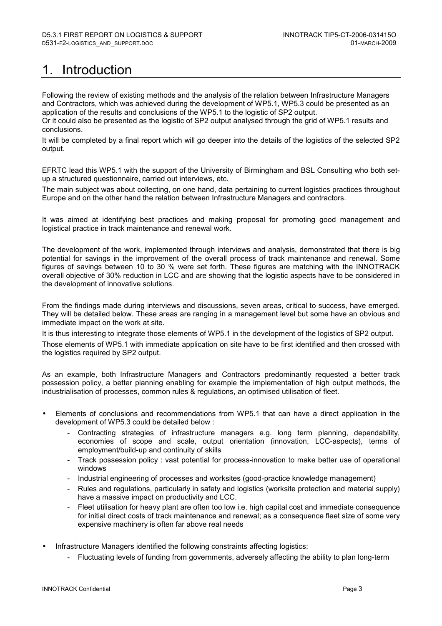# 1. Introduction

Following the review of existing methods and the analysis of the relation between Infrastructure Managers and Contractors, which was achieved during the development of WP5.1, WP5.3 could be presented as an application of the results and conclusions of the WP5.1 to the logistic of SP2 output.

Or it could also be presented as the logistic of SP2 output analysed through the grid of WP5.1 results and conclusions.

It will be completed by a final report which will go deeper into the details of the logistics of the selected SP2 output.

EFRTC lead this WP5.1 with the support of the University of Birmingham and BSL Consulting who both setup a structured questionnaire, carried out interviews, etc.

The main subject was about collecting, on one hand, data pertaining to current logistics practices throughout Europe and on the other hand the relation between Infrastructure Managers and contractors.

It was aimed at identifying best practices and making proposal for promoting good management and logistical practice in track maintenance and renewal work.

The development of the work, implemented through interviews and analysis, demonstrated that there is big potential for savings in the improvement of the overall process of track maintenance and renewal. Some figures of savings between 10 to 30 % were set forth. These figures are matching with the INNOTRACK overall objective of 30% reduction in LCC and are showing that the logistic aspects have to be considered in the development of innovative solutions.

From the findings made during interviews and discussions, seven areas, critical to success, have emerged. They will be detailed below. These areas are ranging in a management level but some have an obvious and immediate impact on the work at site.

It is thus interesting to integrate those elements of WP5.1 in the development of the logistics of SP2 output.

Those elements of WP5.1 with immediate application on site have to be first identified and then crossed with the logistics required by SP2 output.

As an example, both Infrastructure Managers and Contractors predominantly requested a better track possession policy, a better planning enabling for example the implementation of high output methods, the industrialisation of processes, common rules & regulations, an optimised utilisation of fleet.

- Elements of conclusions and recommendations from WP5.1 that can have a direct application in the development of WP5.3 could be detailed below :
	- Contracting strategies of infrastructure managers e.g. long term planning, dependability, economies of scope and scale, output orientation (innovation, LCC-aspects), terms of employment/build-up and continuity of skills
	- Track possession policy : vast potential for process-innovation to make better use of operational windows
	- Industrial engineering of processes and worksites (good-practice knowledge management)
	- Rules and regulations, particularly in safety and logistics (worksite protection and material supply) have a massive impact on productivity and LCC.
	- Fleet utilisation for heavy plant are often too low i.e. high capital cost and immediate consequence for initial direct costs of track maintenance and renewal; as a consequence fleet size of some very expensive machinery is often far above real needs
- Infrastructure Managers identified the following constraints affecting logistics:
	- Fluctuating levels of funding from governments, adversely affecting the ability to plan long-term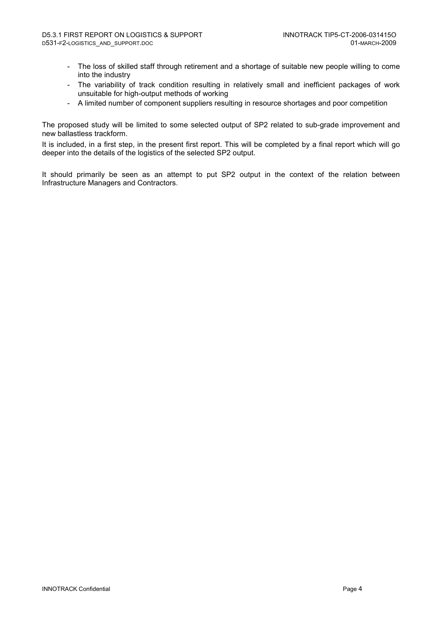- The loss of skilled staff through retirement and a shortage of suitable new people willing to come into the industry
- The variability of track condition resulting in relatively small and inefficient packages of work unsuitable for high-output methods of working
- A limited number of component suppliers resulting in resource shortages and poor competition

The proposed study will be limited to some selected output of SP2 related to sub-grade improvement and new ballastless trackform.

It is included, in a first step, in the present first report. This will be completed by a final report which will go deeper into the details of the logistics of the selected SP2 output.

It should primarily be seen as an attempt to put SP2 output in the context of the relation between Infrastructure Managers and Contractors.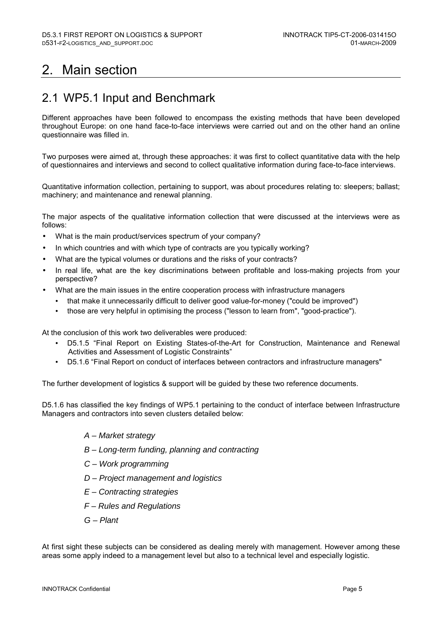# 2. Main section

## 2.1 WP5.1 Input and Benchmark

Different approaches have been followed to encompass the existing methods that have been developed throughout Europe: on one hand face-to-face interviews were carried out and on the other hand an online questionnaire was filled in.

Two purposes were aimed at, through these approaches: it was first to collect quantitative data with the help of questionnaires and interviews and second to collect qualitative information during face-to-face interviews.

Quantitative information collection, pertaining to support, was about procedures relating to: sleepers; ballast; machinery; and maintenance and renewal planning.

The major aspects of the qualitative information collection that were discussed at the interviews were as follows:

- What is the main product/services spectrum of your company?
- In which countries and with which type of contracts are you typically working?
- What are the typical volumes or durations and the risks of your contracts?
- In real life, what are the key discriminations between profitable and loss-making projects from your perspective?
- What are the main issues in the entire cooperation process with infrastructure managers
	- that make it unnecessarily difficult to deliver good value-for-money ("could be improved")
	- those are very helpful in optimising the process ("lesson to learn from", "good-practice").

At the conclusion of this work two deliverables were produced:

- D5.1.5 "Final Report on Existing States-of-the-Art for Construction, Maintenance and Renewal Activities and Assessment of Logistic Constraints"
- D5.1.6 "Final Report on conduct of interfaces between contractors and infrastructure managers"

The further development of logistics & support will be guided by these two reference documents.

D5.1.6 has classified the key findings of WP5.1 pertaining to the conduct of interface between Infrastructure Managers and contractors into seven clusters detailed below:

- A Market strategy
- B Long-term funding, planning and contracting
- C Work programming
- D Project management and logistics
- E Contracting strategies
- F Rules and Regulations
- G Plant

At first sight these subjects can be considered as dealing merely with management. However among these areas some apply indeed to a management level but also to a technical level and especially logistic.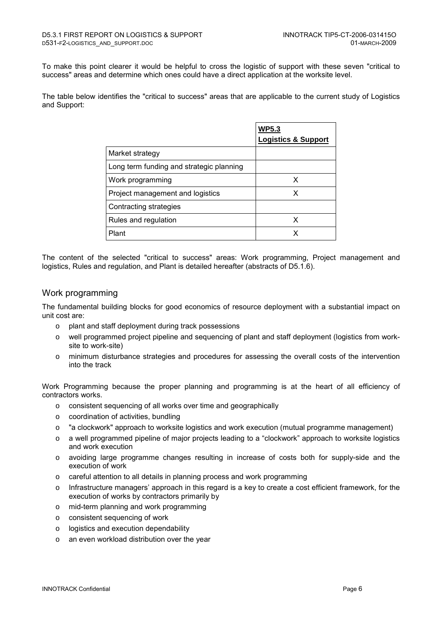To make this point clearer it would be helpful to cross the logistic of support with these seven "critical to success" areas and determine which ones could have a direct application at the worksite level.

The table below identifies the "critical to success" areas that are applicable to the current study of Logistics and Support:

|                                          | <b>WP5.3</b>                   |
|------------------------------------------|--------------------------------|
|                                          | <b>Logistics &amp; Support</b> |
| Market strategy                          |                                |
| Long term funding and strategic planning |                                |
| Work programming                         | х                              |
| Project management and logistics         | х                              |
| Contracting strategies                   |                                |
| Rules and regulation                     | x                              |
| Plant                                    | x                              |

The content of the selected "critical to success" areas: Work programming, Project management and logistics, Rules and regulation, and Plant is detailed hereafter (abstracts of D5.1.6).

#### Work programming

The fundamental building blocks for good economics of resource deployment with a substantial impact on unit cost are:

- o plant and staff deployment during track possessions
- o well programmed project pipeline and sequencing of plant and staff deployment (logistics from worksite to work-site)
- o minimum disturbance strategies and procedures for assessing the overall costs of the intervention into the track

Work Programming because the proper planning and programming is at the heart of all efficiency of contractors works.

- o consistent sequencing of all works over time and geographically
- o coordination of activities, bundling
- $\circ$  "a clockwork" approach to worksite logistics and work execution (mutual programme management)
- o a well programmed pipeline of major projects leading to a "clockwork" approach to worksite logistics and work execution
- o avoiding large programme changes resulting in increase of costs both for supply-side and the execution of work
- o careful attention to all details in planning process and work programming
- $\circ$  Infrastructure managers' approach in this regard is a key to create a cost efficient framework, for the execution of works by contractors primarily by
- o mid-term planning and work programming
- o consistent sequencing of work
- o logistics and execution dependability
- o an even workload distribution over the year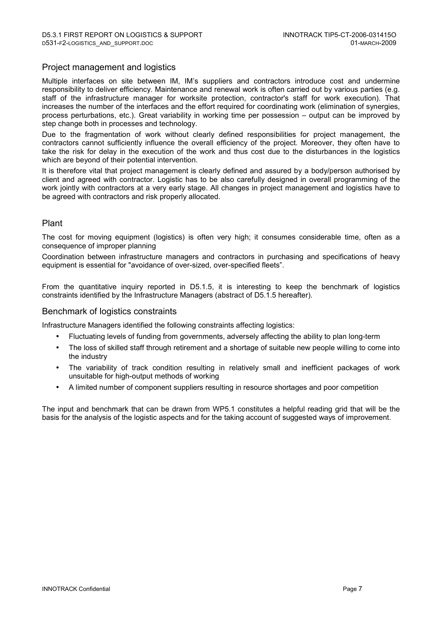### Project management and logistics

Multiple interfaces on site between IM, IM's suppliers and contractors introduce cost and undermine responsibility to deliver efficiency. Maintenance and renewal work is often carried out by various parties (e.g. staff of the infrastructure manager for worksite protection, contractor's staff for work execution). That increases the number of the interfaces and the effort required for coordinating work (elimination of synergies, process perturbations, etc.). Great variability in working time per possession – output can be improved by step change both in processes and technology.

Due to the fragmentation of work without clearly defined responsibilities for project management, the contractors cannot sufficiently influence the overall efficiency of the project. Moreover, they often have to take the risk for delay in the execution of the work and thus cost due to the disturbances in the logistics which are beyond of their potential intervention.

It is therefore vital that project management is clearly defined and assured by a body/person authorised by client and agreed with contractor. Logistic has to be also carefully designed in overall programming of the work jointly with contractors at a very early stage. All changes in project management and logistics have to be agreed with contractors and risk properly allocated.

### Plant

The cost for moving equipment (logistics) is often very high; it consumes considerable time, often as a consequence of improper planning

Coordination between infrastructure managers and contractors in purchasing and specifications of heavy equipment is essential for "avoidance of over-sized, over-specified fleets".

From the quantitative inquiry reported in D5.1.5, it is interesting to keep the benchmark of logistics constraints identified by the Infrastructure Managers (abstract of D5.1.5 hereafter).

#### Benchmark of logistics constraints

Infrastructure Managers identified the following constraints affecting logistics:

- Fluctuating levels of funding from governments, adversely affecting the ability to plan long-term
- The loss of skilled staff through retirement and a shortage of suitable new people willing to come into the industry
- The variability of track condition resulting in relatively small and inefficient packages of work unsuitable for high-output methods of working
- A limited number of component suppliers resulting in resource shortages and poor competition

The input and benchmark that can be drawn from WP5.1 constitutes a helpful reading grid that will be the basis for the analysis of the logistic aspects and for the taking account of suggested ways of improvement.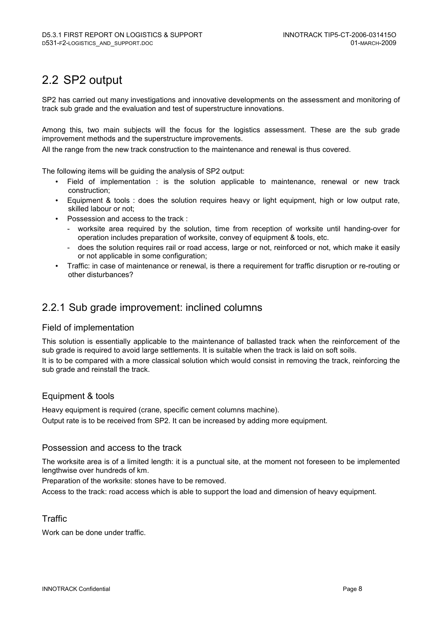# 2.2 SP2 output

SP2 has carried out many investigations and innovative developments on the assessment and monitoring of track sub grade and the evaluation and test of superstructure innovations.

Among this, two main subjects will the focus for the logistics assessment. These are the sub grade improvement methods and the superstructure improvements.

All the range from the new track construction to the maintenance and renewal is thus covered.

The following items will be guiding the analysis of SP2 output:

- Field of implementation : is the solution applicable to maintenance, renewal or new track construction;
- Equipment & tools : does the solution requires heavy or light equipment, high or low output rate, skilled labour or not;
- Possession and access to the track :
	- worksite area required by the solution, time from reception of worksite until handing-over for operation includes preparation of worksite, convey of equipment & tools, etc.
	- does the solution requires rail or road access, large or not, reinforced or not, which make it easily or not applicable in some configuration;
- Traffic: in case of maintenance or renewal, is there a requirement for traffic disruption or re-routing or other disturbances?

## 2.2.1 Sub grade improvement: inclined columns

### Field of implementation

This solution is essentially applicable to the maintenance of ballasted track when the reinforcement of the sub grade is required to avoid large settlements. It is suitable when the track is laid on soft soils.

It is to be compared with a more classical solution which would consist in removing the track, reinforcing the sub grade and reinstall the track.

### Equipment & tools

Heavy equipment is required (crane, specific cement columns machine).

Output rate is to be received from SP2. It can be increased by adding more equipment.

#### Possession and access to the track

The worksite area is of a limited length: it is a punctual site, at the moment not foreseen to be implemented lengthwise over hundreds of km.

Preparation of the worksite: stones have to be removed.

Access to the track: road access which is able to support the load and dimension of heavy equipment.

### **Traffic**

Work can be done under traffic.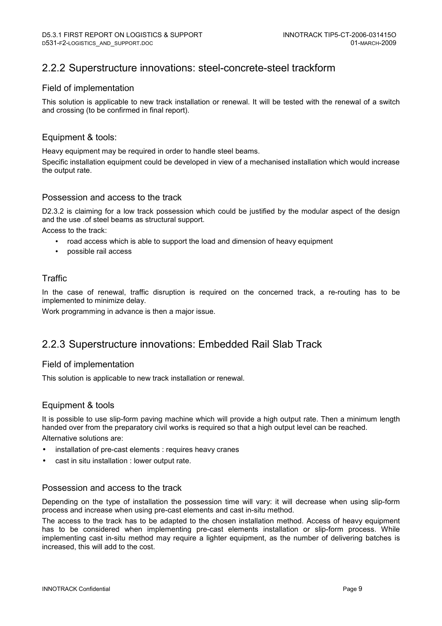## 2.2.2 Superstructure innovations: steel-concrete-steel trackform

#### Field of implementation

This solution is applicable to new track installation or renewal. It will be tested with the renewal of a switch and crossing (to be confirmed in final report).

#### Equipment & tools:

Heavy equipment may be required in order to handle steel beams.

Specific installation equipment could be developed in view of a mechanised installation which would increase the output rate.

#### Possession and access to the track

D2.3.2 is claiming for a low track possession which could be justified by the modular aspect of the design and the use .of steel beams as structural support.

Access to the track:

- road access which is able to support the load and dimension of heavy equipment
- possible rail access

### Traffic

In the case of renewal, traffic disruption is required on the concerned track, a re-routing has to be implemented to minimize delay.

Work programming in advance is then a major issue.

## 2.2.3 Superstructure innovations: Embedded Rail Slab Track

#### Field of implementation

This solution is applicable to new track installation or renewal.

### Equipment & tools

It is possible to use slip-form paving machine which will provide a high output rate. Then a minimum length handed over from the preparatory civil works is required so that a high output level can be reached. Alternative solutions are:

- installation of pre-cast elements : requires heavy cranes
- cast in situ installation : lower output rate.

#### Possession and access to the track

Depending on the type of installation the possession time will vary: it will decrease when using slip-form process and increase when using pre-cast elements and cast in-situ method.

The access to the track has to be adapted to the chosen installation method. Access of heavy equipment has to be considered when implementing pre-cast elements installation or slip-form process. While implementing cast in-situ method may require a lighter equipment, as the number of delivering batches is increased, this will add to the cost.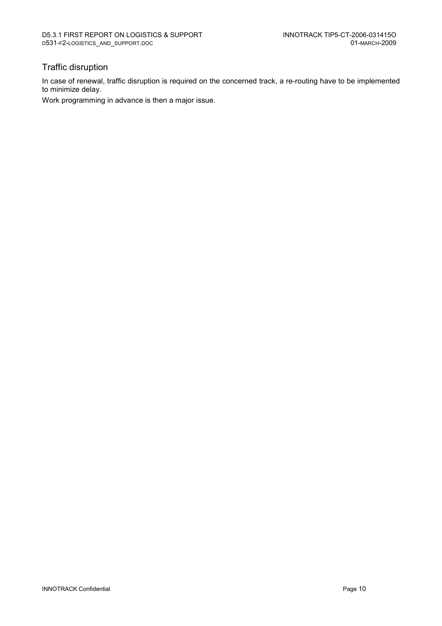### Traffic disruption

In case of renewal, traffic disruption is required on the concerned track, a re-routing have to be implemented to minimize delay.

Work programming in advance is then a major issue.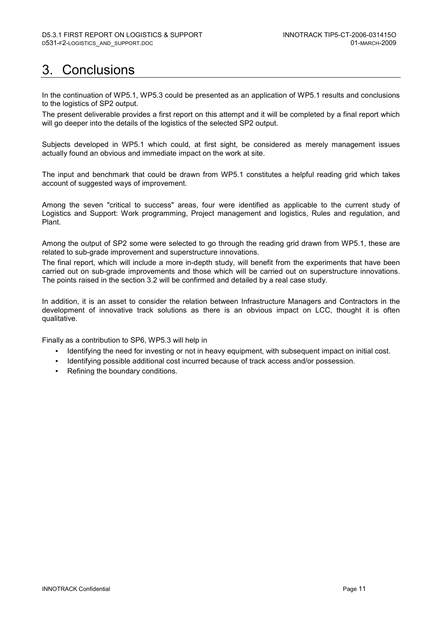# 3. Conclusions

In the continuation of WP5.1, WP5.3 could be presented as an application of WP5.1 results and conclusions to the logistics of SP2 output.

The present deliverable provides a first report on this attempt and it will be completed by a final report which will go deeper into the details of the logistics of the selected SP2 output.

Subjects developed in WP5.1 which could, at first sight, be considered as merely management issues actually found an obvious and immediate impact on the work at site.

The input and benchmark that could be drawn from WP5.1 constitutes a helpful reading grid which takes account of suggested ways of improvement.

Among the seven "critical to success" areas, four were identified as applicable to the current study of Logistics and Support: Work programming, Project management and logistics, Rules and regulation, and Plant.

Among the output of SP2 some were selected to go through the reading grid drawn from WP5.1, these are related to sub-grade improvement and superstructure innovations.

The final report, which will include a more in-depth study, will benefit from the experiments that have been carried out on sub-grade improvements and those which will be carried out on superstructure innovations. The points raised in the section 3.2 will be confirmed and detailed by a real case study.

In addition, it is an asset to consider the relation between Infrastructure Managers and Contractors in the development of innovative track solutions as there is an obvious impact on LCC, thought it is often qualitative.

Finally as a contribution to SP6, WP5.3 will help in

- Identifying the need for investing or not in heavy equipment, with subsequent impact on initial cost.
- Identifying possible additional cost incurred because of track access and/or possession.
- Refining the boundary conditions.